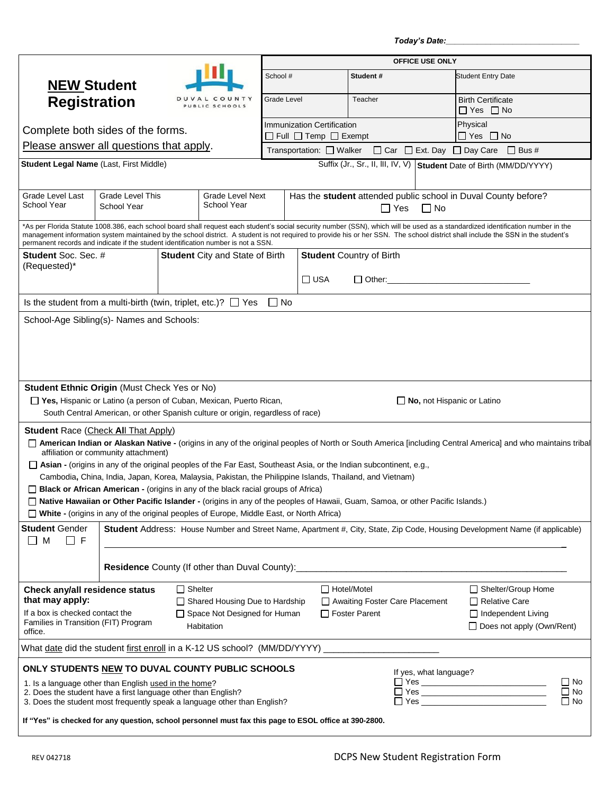*Today's Date:\_\_\_\_\_\_\_\_\_\_\_\_\_\_\_\_\_\_\_\_\_\_\_\_\_\_\_\_\_\_*

|                                                                                                                                           |                                      |                                        | OFFICE USE ONLY                                                                           |             |                                 |                                                                                                          |                                                               |                                                                                                                                                                                                                                                                                                                                                                      |  |
|-------------------------------------------------------------------------------------------------------------------------------------------|--------------------------------------|----------------------------------------|-------------------------------------------------------------------------------------------|-------------|---------------------------------|----------------------------------------------------------------------------------------------------------|---------------------------------------------------------------|----------------------------------------------------------------------------------------------------------------------------------------------------------------------------------------------------------------------------------------------------------------------------------------------------------------------------------------------------------------------|--|
| <b>NEW Student</b>                                                                                                                        |                                      |                                        |                                                                                           | School #    |                                 | Student#                                                                                                 |                                                               | <b>Student Entry Date</b>                                                                                                                                                                                                                                                                                                                                            |  |
| <b>Registration</b>                                                                                                                       |                                      |                                        | COUNTY<br>PUBLIC SCHOOLS                                                                  | Grade Level |                                 | Teacher                                                                                                  |                                                               | <b>Birth Certificate</b><br>$\Box$ Yes $\Box$ No                                                                                                                                                                                                                                                                                                                     |  |
| Complete both sides of the forms.                                                                                                         |                                      |                                        | <b>Immunization Certification</b><br>$\Box$ Full $\Box$ Temp $\Box$ Exempt                |             |                                 |                                                                                                          | Physical<br>$\Box$ Yes $\Box$ No                              |                                                                                                                                                                                                                                                                                                                                                                      |  |
| Please answer all questions that apply.                                                                                                   |                                      |                                        |                                                                                           |             | Transportation: □ Walker        |                                                                                                          |                                                               | □ Car □ Ext. Day □ Day Care □ Bus #                                                                                                                                                                                                                                                                                                                                  |  |
| Student Legal Name (Last, First Middle)                                                                                                   |                                      |                                        |                                                                                           |             |                                 |                                                                                                          |                                                               | Suffix (Jr., Sr., II, III, IV, V) Student Date of Birth (MM/DD/YYYY)                                                                                                                                                                                                                                                                                                 |  |
|                                                                                                                                           |                                      |                                        |                                                                                           |             |                                 |                                                                                                          |                                                               |                                                                                                                                                                                                                                                                                                                                                                      |  |
| Grade Level Last<br><b>Grade Level This</b><br>School Year<br>School Year                                                                 |                                      | <b>Grade Level Next</b><br>School Year | Has the student attended public school in Duval County before?<br>$\Box$ Yes<br>$\Box$ No |             |                                 |                                                                                                          |                                                               |                                                                                                                                                                                                                                                                                                                                                                      |  |
| permanent records and indicate if the student identification number is not a SSN.                                                         |                                      |                                        |                                                                                           |             |                                 |                                                                                                          |                                                               | *As per Florida Statute 1008.386, each school board shall request each student's social security number (SSN), which will be used as a standardized identification number in the<br>management information system maintained by the school district. A student is not required to provide his or her SSN. The school district shall include the SSN in the student's |  |
| <b>Student</b> Soc. Sec. #                                                                                                                |                                      |                                        | <b>Student</b> City and State of Birth                                                    |             | <b>Student Country of Birth</b> |                                                                                                          |                                                               |                                                                                                                                                                                                                                                                                                                                                                      |  |
| (Requested)*                                                                                                                              |                                      |                                        |                                                                                           |             | $\Box$ USA                      | $\Box$ Other:                                                                                            |                                                               |                                                                                                                                                                                                                                                                                                                                                                      |  |
| Is the student from a multi-birth (twin, triplet, etc.)? $\Box$ Yes $\Box$ No                                                             |                                      |                                        |                                                                                           |             |                                 |                                                                                                          |                                                               |                                                                                                                                                                                                                                                                                                                                                                      |  |
| School-Age Sibling(s)- Names and Schools:                                                                                                 |                                      |                                        |                                                                                           |             |                                 |                                                                                                          |                                                               |                                                                                                                                                                                                                                                                                                                                                                      |  |
|                                                                                                                                           |                                      |                                        |                                                                                           |             |                                 |                                                                                                          |                                                               |                                                                                                                                                                                                                                                                                                                                                                      |  |
|                                                                                                                                           |                                      |                                        |                                                                                           |             |                                 |                                                                                                          |                                                               |                                                                                                                                                                                                                                                                                                                                                                      |  |
|                                                                                                                                           |                                      |                                        |                                                                                           |             |                                 |                                                                                                          |                                                               |                                                                                                                                                                                                                                                                                                                                                                      |  |
|                                                                                                                                           |                                      |                                        |                                                                                           |             |                                 |                                                                                                          |                                                               |                                                                                                                                                                                                                                                                                                                                                                      |  |
| <b>Student Ethnic Origin (Must Check Yes or No)</b>                                                                                       |                                      |                                        |                                                                                           |             |                                 |                                                                                                          |                                                               |                                                                                                                                                                                                                                                                                                                                                                      |  |
| □ Yes, Hispanic or Latino (a person of Cuban, Mexican, Puerto Rican,                                                                      |                                      |                                        | South Central American, or other Spanish culture or origin, regardless of race)           |             |                                 |                                                                                                          |                                                               | $\Box$ No, not Hispanic or Latino                                                                                                                                                                                                                                                                                                                                    |  |
|                                                                                                                                           |                                      |                                        |                                                                                           |             |                                 |                                                                                                          |                                                               |                                                                                                                                                                                                                                                                                                                                                                      |  |
| <b>Student Race (Check All That Apply)</b>                                                                                                | affiliation or community attachment) |                                        |                                                                                           |             |                                 |                                                                                                          |                                                               | American Indian or Alaskan Native - (origins in any of the original peoples of North or South America [including Central America] and who maintains tribal                                                                                                                                                                                                           |  |
| $\Box$ Asian - (origins in any of the original peoples of the Far East, Southeast Asia, or the Indian subcontinent, e.g.,                 |                                      |                                        |                                                                                           |             |                                 |                                                                                                          |                                                               |                                                                                                                                                                                                                                                                                                                                                                      |  |
|                                                                                                                                           |                                      |                                        |                                                                                           |             |                                 | Cambodia, China, India, Japan, Korea, Malaysia, Pakistan, the Philippine Islands, Thailand, and Vietnam) |                                                               |                                                                                                                                                                                                                                                                                                                                                                      |  |
| $\Box$ Black or African American - (origins in any of the black racial groups of Africa)                                                  |                                      |                                        |                                                                                           |             |                                 |                                                                                                          |                                                               |                                                                                                                                                                                                                                                                                                                                                                      |  |
| □ Native Hawaiian or Other Pacific Islander - (origins in any of the peoples of Hawaii, Guam, Samoa, or other Pacific Islands.)           |                                      |                                        |                                                                                           |             |                                 |                                                                                                          |                                                               |                                                                                                                                                                                                                                                                                                                                                                      |  |
| □ White - (origins in any of the original peoples of Europe, Middle East, or North Africa)                                                |                                      |                                        |                                                                                           |             |                                 |                                                                                                          |                                                               |                                                                                                                                                                                                                                                                                                                                                                      |  |
| <b>Student Gender</b><br>M<br>$\Box$ F                                                                                                    |                                      |                                        |                                                                                           |             |                                 |                                                                                                          |                                                               | Student Address: House Number and Street Name, Apartment #, City, State, Zip Code, Housing Development Name (if applicable)                                                                                                                                                                                                                                          |  |
| Residence County (If other than Duval County):__________________________________                                                          |                                      |                                        |                                                                                           |             |                                 |                                                                                                          |                                                               |                                                                                                                                                                                                                                                                                                                                                                      |  |
| Check any/all residence status                                                                                                            |                                      | $\Box$ Shelter                         |                                                                                           |             | $\Box$ Hotel/Motel              |                                                                                                          |                                                               | Shelter/Group Home                                                                                                                                                                                                                                                                                                                                                   |  |
| that may apply:                                                                                                                           |                                      |                                        | □ Shared Housing Due to Hardship                                                          |             |                                 | Awaiting Foster Care Placement                                                                           |                                                               | $\Box$ Relative Care                                                                                                                                                                                                                                                                                                                                                 |  |
| If a box is checked contact the<br>Families in Transition (FIT) Program<br>office.                                                        |                                      | Habitation                             | □ Space Not Designed for Human                                                            |             | $\Box$ Foster Parent            |                                                                                                          | $\Box$ Independent Living<br>$\Box$ Does not apply (Own/Rent) |                                                                                                                                                                                                                                                                                                                                                                      |  |
| What date did the student first enroll in a K-12 US school? (MM/DD/YYYY) ___________________________                                      |                                      |                                        |                                                                                           |             |                                 |                                                                                                          |                                                               |                                                                                                                                                                                                                                                                                                                                                                      |  |
| ONLY STUDENTS NEW TO DUVAL COUNTY PUBLIC SCHOOLS                                                                                          |                                      |                                        |                                                                                           |             |                                 |                                                                                                          | If yes, what language?                                        |                                                                                                                                                                                                                                                                                                                                                                      |  |
| 1. Is a language other than English used in the home?                                                                                     |                                      |                                        |                                                                                           |             |                                 |                                                                                                          |                                                               | $\Box$ No                                                                                                                                                                                                                                                                                                                                                            |  |
| 2. Does the student have a first language other than English?<br>3. Does the student most frequently speak a language other than English? |                                      |                                        |                                                                                           |             |                                 |                                                                                                          |                                                               | $\Box$ No<br>$\Box$ No                                                                                                                                                                                                                                                                                                                                               |  |
| If "Yes" is checked for any question, school personnel must fax this page to ESOL office at 390-2800.                                     |                                      |                                        |                                                                                           |             |                                 |                                                                                                          |                                                               |                                                                                                                                                                                                                                                                                                                                                                      |  |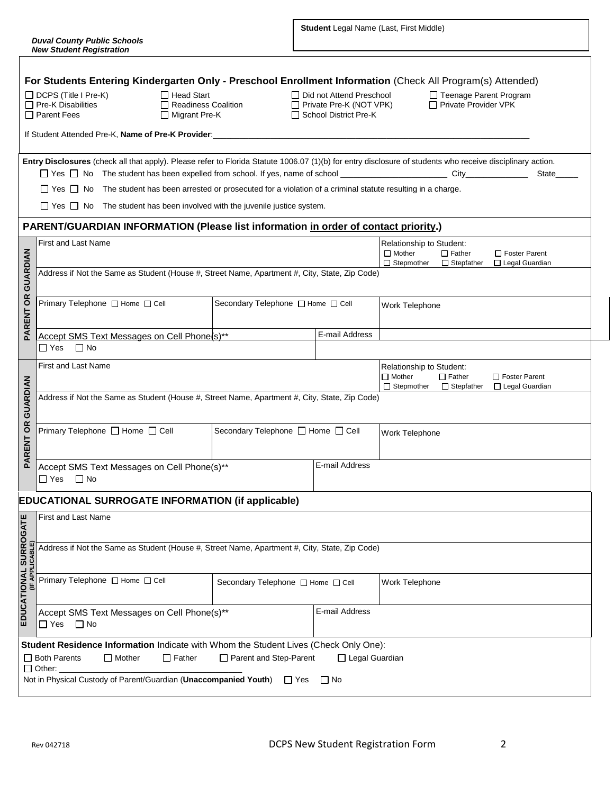$\overline{\phantom{a}}$ 

|                                                                                                           | For Students Entering Kindergarten Only - Preschool Enrollment Information (Check All Program(s) Attended)<br>□ Head Start<br>□ Did not Attend Preschool<br>$\Box$ DCPS (Title I Pre-K)<br>□ Teenage Parent Program<br>□ Private Provider VPK<br>$\Box$ Pre-K Disabilities<br>Readiness Coalition<br>□ Private Pre-K (NOT VPK)<br>$\Box$ Parent Fees<br>□ Migrant Pre-K<br>□ School District Pre-K |                                                                                                                                          |                |                                                                                                                                                                           |  |  |  |  |  |  |
|-----------------------------------------------------------------------------------------------------------|----------------------------------------------------------------------------------------------------------------------------------------------------------------------------------------------------------------------------------------------------------------------------------------------------------------------------------------------------------------------------------------------------|------------------------------------------------------------------------------------------------------------------------------------------|----------------|---------------------------------------------------------------------------------------------------------------------------------------------------------------------------|--|--|--|--|--|--|
|                                                                                                           | If Student Attended Pre-K, Name of Pre-K Provider:<br>Student Attended Pre-K, Name of Pre-K Provider:                                                                                                                                                                                                                                                                                              |                                                                                                                                          |                |                                                                                                                                                                           |  |  |  |  |  |  |
|                                                                                                           |                                                                                                                                                                                                                                                                                                                                                                                                    |                                                                                                                                          |                | Entry Disclosures (check all that apply). Please refer to Florida Statute 1006.07 (1)(b) for entry disclosure of students who receive disciplinary action.<br>State______ |  |  |  |  |  |  |
|                                                                                                           | □ Yes □ No The student has been arrested or prosecuted for a violation of a criminal statute resulting in a charge.                                                                                                                                                                                                                                                                                |                                                                                                                                          |                |                                                                                                                                                                           |  |  |  |  |  |  |
|                                                                                                           | $\Box$ Yes $\Box$ No The student has been involved with the juvenile justice system.                                                                                                                                                                                                                                                                                                               |                                                                                                                                          |                |                                                                                                                                                                           |  |  |  |  |  |  |
|                                                                                                           | PARENT/GUARDIAN INFORMATION (Please list information in order of contact priority.)                                                                                                                                                                                                                                                                                                                |                                                                                                                                          |                |                                                                                                                                                                           |  |  |  |  |  |  |
|                                                                                                           | <b>First and Last Name</b>                                                                                                                                                                                                                                                                                                                                                                         |                                                                                                                                          |                | Relationship to Student:<br>$\Box$ Mother<br>$\Box$ Father<br>$\Box$ Foster Parent<br>□ Stepmother □ Stepfather<br>□ Legal Guardian                                       |  |  |  |  |  |  |
| GUARDIAN<br>Address if Not the Same as Student (House #, Street Name, Apartment #, City, State, Zip Code) |                                                                                                                                                                                                                                                                                                                                                                                                    |                                                                                                                                          |                |                                                                                                                                                                           |  |  |  |  |  |  |
| <b>PARENT OR</b>                                                                                          | Primary Telephone □ Home □ Cell                                                                                                                                                                                                                                                                                                                                                                    | Secondary Telephone □ Home □ Cell                                                                                                        |                | Work Telephone                                                                                                                                                            |  |  |  |  |  |  |
|                                                                                                           | Accept SMS Text Messages on Cell Phone(s)**<br>$\Box$ Yes $\Box$ No                                                                                                                                                                                                                                                                                                                                |                                                                                                                                          | E-mail Address |                                                                                                                                                                           |  |  |  |  |  |  |
|                                                                                                           | First and Last Name                                                                                                                                                                                                                                                                                                                                                                                | Relationship to Student:<br>$\Box$ Mother<br>$\Box$ Father<br>□ Foster Parent<br>$\Box$ Stepmother $\Box$ Stepfather<br>□ Legal Guardian |                |                                                                                                                                                                           |  |  |  |  |  |  |
| GUARDIAN<br>Address if Not the Same as Student (House #, Street Name, Apartment #, City, State, Zip Code) |                                                                                                                                                                                                                                                                                                                                                                                                    |                                                                                                                                          |                |                                                                                                                                                                           |  |  |  |  |  |  |
| <b>ARENT OR</b>                                                                                           | Primary Telephone □ Home □ Cell<br>Secondary Telephone □ Home □ Cell<br>E-mail Address<br>Accept SMS Text Messages on Cell Phone(s)**<br>$\Box$ Yes $\Box$ No                                                                                                                                                                                                                                      |                                                                                                                                          |                | Work Telephone                                                                                                                                                            |  |  |  |  |  |  |
| ௨                                                                                                         |                                                                                                                                                                                                                                                                                                                                                                                                    |                                                                                                                                          |                |                                                                                                                                                                           |  |  |  |  |  |  |
|                                                                                                           | <b>EDUCATIONAL SURROGATE INFORMATION (if applicable)</b>                                                                                                                                                                                                                                                                                                                                           |                                                                                                                                          |                |                                                                                                                                                                           |  |  |  |  |  |  |
|                                                                                                           | <b>First and Last Name</b>                                                                                                                                                                                                                                                                                                                                                                         |                                                                                                                                          |                |                                                                                                                                                                           |  |  |  |  |  |  |
|                                                                                                           | Address if Not the Same as Student (House #, Street Name, Apartment #, City, State, Zip Code)                                                                                                                                                                                                                                                                                                      |                                                                                                                                          |                |                                                                                                                                                                           |  |  |  |  |  |  |
| EDUCATIONAL SURROGATE<br>(IF APPLICABLE)                                                                  | Primary Telephone □ Home □ Cell                                                                                                                                                                                                                                                                                                                                                                    | Secondary Telephone [ Home [ Cell                                                                                                        |                | Work Telephone                                                                                                                                                            |  |  |  |  |  |  |
|                                                                                                           | Accept SMS Text Messages on Cell Phone(s)**<br>$\square$ No<br>$\Box$ Yes                                                                                                                                                                                                                                                                                                                          |                                                                                                                                          | E-mail Address |                                                                                                                                                                           |  |  |  |  |  |  |
|                                                                                                           | Student Residence Information Indicate with Whom the Student Lives (Check Only One):<br>□ Both Parents<br>Parent and Step-Parent<br>$\Box$ Mother<br>$\Box$ Father<br>$\Box$ Legal Guardian<br>$\Box$ Other:<br>Not in Physical Custody of Parent/Guardian (Unaccompanied Youth)<br>∐ Yes<br>$\Box$ No                                                                                             |                                                                                                                                          |                |                                                                                                                                                                           |  |  |  |  |  |  |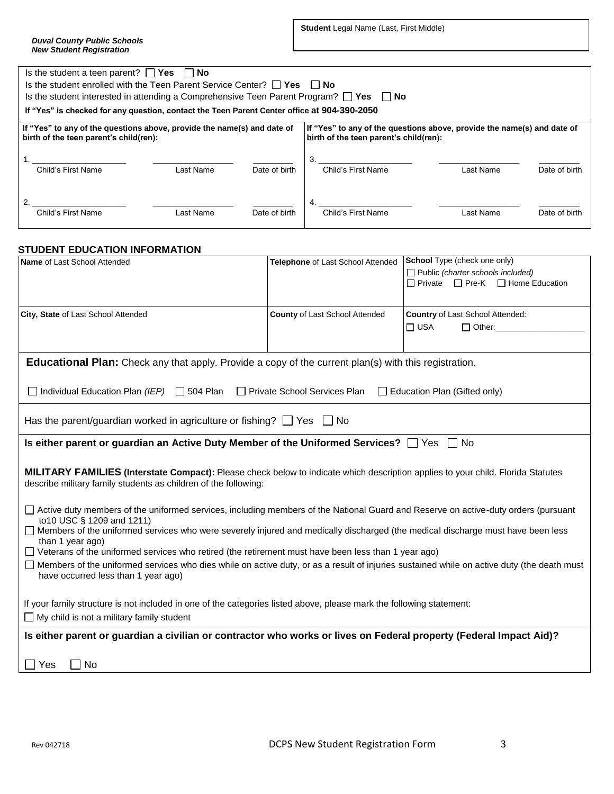**Student** Legal Name (Last, First Middle)

| Is the student a teen parent? $\Box$ Yes $\Box$                                                                   | No        |               |                                                                                                                   |                                                                                               |               |  |  |
|-------------------------------------------------------------------------------------------------------------------|-----------|---------------|-------------------------------------------------------------------------------------------------------------------|-----------------------------------------------------------------------------------------------|---------------|--|--|
| Is the student enrolled with the Teen Parent Service Center? $\Box$ Yes $\Box$ No                                 |           |               |                                                                                                                   |                                                                                               |               |  |  |
| Is the student interested in attending a Comprehensive Teen Parent Program? $\Box$ Yes $\Box$ No                  |           |               |                                                                                                                   |                                                                                               |               |  |  |
| If "Yes" is checked for any question, contact the Teen Parent Center office at 904-390-2050                       |           |               |                                                                                                                   |                                                                                               |               |  |  |
| If "Yes" to any of the questions above, provide the name(s) and date of<br>birth of the teen parent's child(ren): |           |               | If "Yes" to any of the questions above, provide the name(s) and date of<br>birth of the teen parent's child(ren): |                                                                                               |               |  |  |
| Child's First Name                                                                                                | Last Name | Date of birth | 3.<br>Child's First Name                                                                                          | Last Name                                                                                     | Date of birth |  |  |
|                                                                                                                   |           |               | 4.                                                                                                                |                                                                                               |               |  |  |
| Child's First Name                                                                                                | Last Name | Date of birth | Child's First Name                                                                                                | Last Name                                                                                     | Date of birth |  |  |
| <b>STUDENT EDUCATION INFORMATION</b>                                                                              |           |               |                                                                                                                   | <b>School</b> Type (check one only)                                                           |               |  |  |
| <b>Name of Last School Attended</b>                                                                               |           |               | Telephone of Last School Attended                                                                                 | $\Box$ Public (charter schools included)<br>$\Box$ Drivete $\Box$ Dre K $\Box$ Heme Education |               |  |  |

|                                                                                                                                                                                                                                                                                                                             |                                       | $\Box$ Pre-K<br>□ Home Education<br>$\Box$ Private              |  |  |  |  |  |
|-----------------------------------------------------------------------------------------------------------------------------------------------------------------------------------------------------------------------------------------------------------------------------------------------------------------------------|---------------------------------------|-----------------------------------------------------------------|--|--|--|--|--|
| City, State of Last School Attended                                                                                                                                                                                                                                                                                         | <b>County of Last School Attended</b> | Country of Last School Attended:<br>$\Box$ USA<br>$\Box$ Other: |  |  |  |  |  |
| <b>Educational Plan:</b> Check any that apply. Provide a copy of the current plan(s) with this registration.                                                                                                                                                                                                                |                                       |                                                                 |  |  |  |  |  |
| Individual Education Plan (IEP) $\Box$ 504 Plan<br>□ Private School Services Plan<br>$\Box$ Education Plan (Gifted only)                                                                                                                                                                                                    |                                       |                                                                 |  |  |  |  |  |
| Has the parent/guardian worked in agriculture or fishing? $\Box$ Yes $\Box$ No                                                                                                                                                                                                                                              |                                       |                                                                 |  |  |  |  |  |
| Is either parent or guardian an Active Duty Member of the Uniformed Services? $\Box$ Yes $\Box$ No                                                                                                                                                                                                                          |                                       |                                                                 |  |  |  |  |  |
| <b>MILITARY FAMILIES (Interstate Compact):</b> Please check below to indicate which description applies to your child. Florida Statutes<br>describe military family students as children of the following:                                                                                                                  |                                       |                                                                 |  |  |  |  |  |
| □ Active duty members of the uniformed services, including members of the National Guard and Reserve on active-duty orders (pursuant<br>to 10 USC § 1209 and 1211)<br>□ Members of the uniformed services who were severely injured and medically discharged (the medical discharge must have been less<br>than 1 year ago) |                                       |                                                                 |  |  |  |  |  |
| $\Box$ Veterans of the uniformed services who retired (the retirement must have been less than 1 year ago)<br>□ Members of the uniformed services who dies while on active duty, or as a result of injuries sustained while on active duty (the death must<br>have occurred less than 1 year ago)                           |                                       |                                                                 |  |  |  |  |  |
| If your family structure is not included in one of the categories listed above, please mark the following statement:<br>$\Box$ My child is not a military family student                                                                                                                                                    |                                       |                                                                 |  |  |  |  |  |
| Is either parent or guardian a civilian or contractor who works or lives on Federal property (Federal Impact Aid)?                                                                                                                                                                                                          |                                       |                                                                 |  |  |  |  |  |
| $\Box$ Yes<br>No.                                                                                                                                                                                                                                                                                                           |                                       |                                                                 |  |  |  |  |  |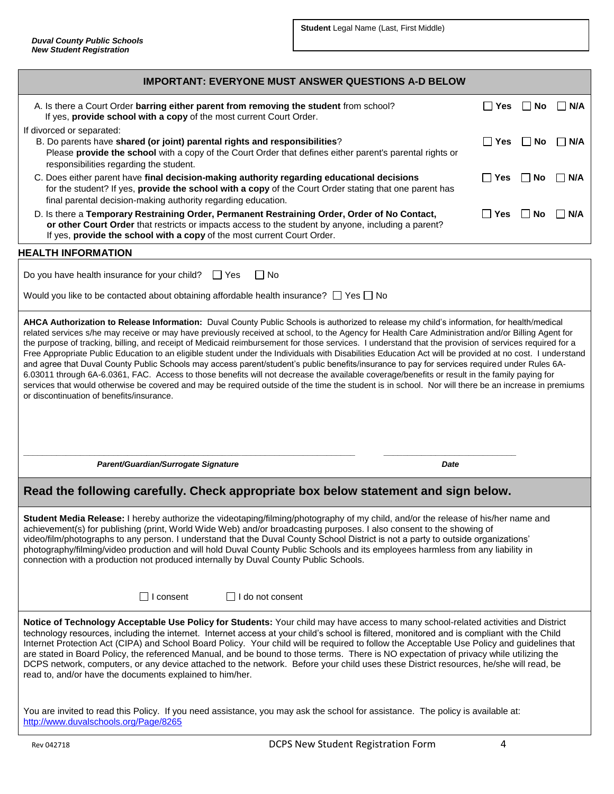| <b>IMPORTANT: EVERYONE MUST ANSWER QUESTIONS A-D BELOW</b>                                                                                                                                                                                                                                                                                                                                                                                                                                                                                                                                                                                                                                                                                                                                                                                                                                                                                                                                                                                                                                                                    |            |           |                     |  |  |  |  |  |
|-------------------------------------------------------------------------------------------------------------------------------------------------------------------------------------------------------------------------------------------------------------------------------------------------------------------------------------------------------------------------------------------------------------------------------------------------------------------------------------------------------------------------------------------------------------------------------------------------------------------------------------------------------------------------------------------------------------------------------------------------------------------------------------------------------------------------------------------------------------------------------------------------------------------------------------------------------------------------------------------------------------------------------------------------------------------------------------------------------------------------------|------------|-----------|---------------------|--|--|--|--|--|
| A. Is there a Court Order barring either parent from removing the student from school?<br>If yes, provide school with a copy of the most current Court Order.                                                                                                                                                                                                                                                                                                                                                                                                                                                                                                                                                                                                                                                                                                                                                                                                                                                                                                                                                                 | $\Box$ Yes | ∣ ∣No     | $\Box$ N/A          |  |  |  |  |  |
| If divorced or separated:<br>B. Do parents have shared (or joint) parental rights and responsibilities?<br>Please provide the school with a copy of the Court Order that defines either parent's parental rights or<br>responsibilities regarding the student.                                                                                                                                                                                                                                                                                                                                                                                                                                                                                                                                                                                                                                                                                                                                                                                                                                                                | $\Box$ Yes | $\Box$ No | I I N/A             |  |  |  |  |  |
| C. Does either parent have final decision-making authority regarding educational decisions<br>for the student? If yes, provide the school with a copy of the Court Order stating that one parent has<br>final parental decision-making authority regarding education.                                                                                                                                                                                                                                                                                                                                                                                                                                                                                                                                                                                                                                                                                                                                                                                                                                                         | $\Box$ Yes | $\Box$ No | N/A<br>$\mathsf{L}$ |  |  |  |  |  |
| D. Is there a Temporary Restraining Order, Permanent Restraining Order, Order of No Contact,<br>or other Court Order that restricts or impacts access to the student by anyone, including a parent?<br>If yes, provide the school with a copy of the most current Court Order.                                                                                                                                                                                                                                                                                                                                                                                                                                                                                                                                                                                                                                                                                                                                                                                                                                                | $\Box$ Yes | ∣ ∣No     | N/A<br>$\perp$      |  |  |  |  |  |
| <b>HEALTH INFORMATION</b>                                                                                                                                                                                                                                                                                                                                                                                                                                                                                                                                                                                                                                                                                                                                                                                                                                                                                                                                                                                                                                                                                                     |            |           |                     |  |  |  |  |  |
| Do you have health insurance for your child?<br>$\Box$ No<br>∣ ∣ Yes                                                                                                                                                                                                                                                                                                                                                                                                                                                                                                                                                                                                                                                                                                                                                                                                                                                                                                                                                                                                                                                          |            |           |                     |  |  |  |  |  |
| Would you like to be contacted about obtaining affordable health insurance? $\Box$ Yes $\Box$ No                                                                                                                                                                                                                                                                                                                                                                                                                                                                                                                                                                                                                                                                                                                                                                                                                                                                                                                                                                                                                              |            |           |                     |  |  |  |  |  |
| AHCA Authorization to Release Information: Duval County Public Schools is authorized to release my child's information, for health/medical<br>related services s/he may receive or may have previously received at school, to the Agency for Health Care Administration and/or Billing Agent for<br>the purpose of tracking, billing, and receipt of Medicaid reimbursement for those services. I understand that the provision of services required for a<br>Free Appropriate Public Education to an eligible student under the Individuals with Disabilities Education Act will be provided at no cost. I understand<br>and agree that Duval County Public Schools may access parent/student's public benefits/insurance to pay for services required under Rules 6A-<br>6.03011 through 6A-6.0361, FAC. Access to those benefits will not decrease the available coverage/benefits or result in the family paying for<br>services that would otherwise be covered and may be required outside of the time the student is in school. Nor will there be an increase in premiums<br>or discontinuation of benefits/insurance. |            |           |                     |  |  |  |  |  |
| Parent/Guardian/Surrogate Signature<br>Date                                                                                                                                                                                                                                                                                                                                                                                                                                                                                                                                                                                                                                                                                                                                                                                                                                                                                                                                                                                                                                                                                   |            |           |                     |  |  |  |  |  |
| Read the following carefully. Check appropriate box below statement and sign below.                                                                                                                                                                                                                                                                                                                                                                                                                                                                                                                                                                                                                                                                                                                                                                                                                                                                                                                                                                                                                                           |            |           |                     |  |  |  |  |  |
| Student Media Release: I hereby authorize the videotaping/filming/photography of my child, and/or the release of his/her name and<br>achievement(s) for publishing (print, World Wide Web) and/or broadcasting purposes. I also consent to the showing of<br>video/film/photographs to any person. I understand that the Duval County School District is not a party to outside organizations'<br>photography/filming/video production and will hold Duval County Public Schools and its employees harmless from any liability in<br>connection with a production not produced internally by Duval County Public Schools.                                                                                                                                                                                                                                                                                                                                                                                                                                                                                                     |            |           |                     |  |  |  |  |  |
| $\Box$ I consent<br>$\Box$ I do not consent                                                                                                                                                                                                                                                                                                                                                                                                                                                                                                                                                                                                                                                                                                                                                                                                                                                                                                                                                                                                                                                                                   |            |           |                     |  |  |  |  |  |
| Notice of Technology Acceptable Use Policy for Students: Your child may have access to many school-related activities and District<br>technology resources, including the internet. Internet access at your child's school is filtered, monitored and is compliant with the Child<br>Internet Protection Act (CIPA) and School Board Policy. Your child will be required to follow the Acceptable Use Policy and guidelines that<br>are stated in Board Policy, the referenced Manual, and be bound to those terms. There is NO expectation of privacy while utilizing the<br>DCPS network, computers, or any device attached to the network. Before your child uses these District resources, he/she will read, be<br>read to, and/or have the documents explained to him/her.                                                                                                                                                                                                                                                                                                                                               |            |           |                     |  |  |  |  |  |
| You are invited to read this Policy. If you need assistance, you may ask the school for assistance. The policy is available at:                                                                                                                                                                                                                                                                                                                                                                                                                                                                                                                                                                                                                                                                                                                                                                                                                                                                                                                                                                                               |            |           |                     |  |  |  |  |  |